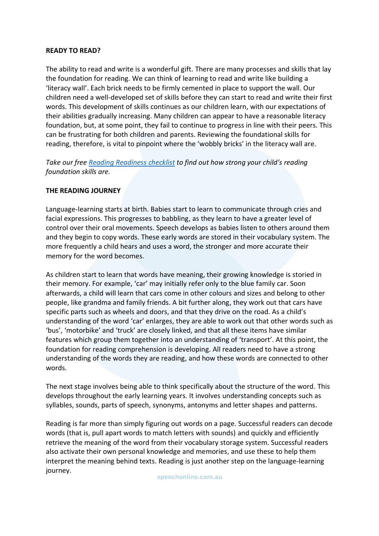### **READY TO READ?**

The ability to read and write is a wonderful gift. There are many processes and skills that lay the foundation for reading. We can think of learning to read and write like building a 'literacy wall'. Each brick needs to be firmly cemented in place to support the wall. Our children need a well-developed set of skills before they can start to read and write their first words. This development of skills continues as our children learn, with our expectations of their abilities gradually increasing. Many children can appear to have a reasonable literacy foundation, but, at some point, they fail to continue to progress in line with their peers. This can be frustrating for both children and parents. Reviewing the foundational skills for reading, therefore, is vital to pinpoint where the 'wobbly bricks' in the literacy wall are.

*Take our free [Reading Readiness checklist](https://speechonline.com.au/wp-content/uploads/2018/09/Reading-Readiness-Checklist-website.pdf) to find out how strong your child's reading foundation skills are.*

### **THE READING JOURNEY**

Language-learning starts at birth. Babies start to learn to communicate through cries and facial expressions. This progresses to babbling, as they learn to have a greater level of control over their oral movements. Speech develops as babies listen to others around them and they begin to copy words. These early words are stored in their vocabulary system. The more frequently a child hears and uses a word, the stronger and more accurate their memory for the word becomes.

As children start to learn that words have meaning, their growing knowledge is storied in their memory. For example, 'car' may initially refer only to the blue family car. Soon afterwards, a child will learn that cars come in other colours and sizes and belong to other people, like grandma and family friends. A bit further along, they work out that cars have specific parts such as wheels and doors, and that they drive on the road. As a child's understanding of the word 'car' enlarges, they are able to work out that other words such as 'bus', 'motorbike' and 'truck' are closely linked, and that all these items have similar features which group them together into an understanding of 'transport'. At this point, the foundation for reading comprehension is developing. All readers need to have a strong understanding of the words they are reading, and how these words are connected to other words.

The next stage involves being able to think specifically about the structure of the word. This develops throughout the early learning years. It involves understanding concepts such as syllables, sounds, parts of speech, synonyms, antonyms and letter shapes and patterns.

Reading is far more than simply figuring out words on a page. Successful readers can decode words (that is, pull apart words to match letters with sounds) and quickly and efficiently retrieve the meaning of the word from their vocabulary storage system. Successful readers also activate their own personal knowledge and memories, and use these to help them interpret the meaning behind texts. Reading is just another step on the language-learning journey.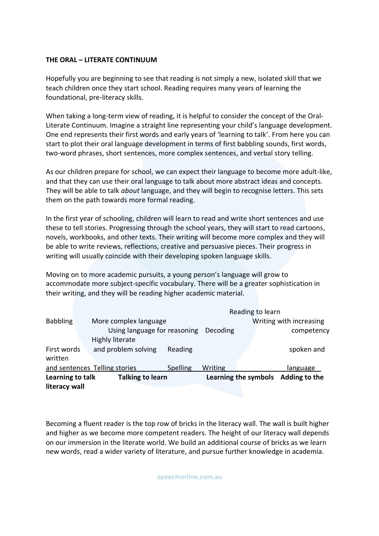# **THE ORAL – LITERATE CONTINUUM**

Hopefully you are beginning to see that reading is not simply a new, isolated skill that we teach children once they start school. Reading requires many years of learning the foundational, pre-literacy skills.

When taking a long-term view of reading, it is helpful to consider the concept of the Oral-Literate Continuum. Imagine a straight line representing your child's language development. One end represents their first words and early years of 'learning to talk'. From here you can start to plot their oral language development in terms of first babbling sounds, first words, two-word phrases, short sentences, more complex sentences, and verbal story telling.

As our children prepare for school, we can expect their language to become more adult-like, and that they can use their oral language to talk about more abstract ideas and concepts. They will be able to talk *about* language, and they will begin to recognise letters. This sets them on the path towards more formal reading.

In the first year of schooling, children will learn to read and write short sentences and use these to tell stories. Progressing through the school years, they will start to read cartoons, novels, workbooks, and other texts. Their writing will become more complex and they will be able to write reviews, reflections, creative and persuasive pieces. Their progress in writing will usually coincide with their developing spoken language skills.

Moving on to more academic pursuits, a young person's language will grow to accommodate more subject-specific vocabulary. There will be a greater sophistication in their writing, and they will be reading higher academic material.

| literacy wall                               |                       |                              |                      |                                             |               |                 |
|---------------------------------------------|-----------------------|------------------------------|----------------------|---------------------------------------------|---------------|-----------------|
| Learning to talk<br><b>Talking to learn</b> |                       |                              | Learning the symbols |                                             | Adding to the |                 |
| and sentences Telling stories               |                       |                              | Spelling             | Writing                                     |               | <u>language</u> |
| written                                     |                       |                              |                      |                                             |               |                 |
| First words                                 |                       | and problem solving          | Reading              |                                             |               | spoken and      |
|                                             |                       | Highly literate              |                      |                                             |               |                 |
|                                             |                       | Using language for reasoning |                      | Decoding                                    |               | competency      |
| <b>Babbling</b>                             | More complex language |                              |                      | Reading to learn<br>Writing with increasing |               |                 |
|                                             |                       |                              |                      |                                             |               |                 |

Becoming a fluent reader is the top row of bricks in the literacy wall. The wall is built higher and higher as we become more competent readers. The height of our literacy wall depends on our immersion in the literate world. We build an additional course of bricks as we learn new words, read a wider variety of literature, and pursue further knowledge in academia.